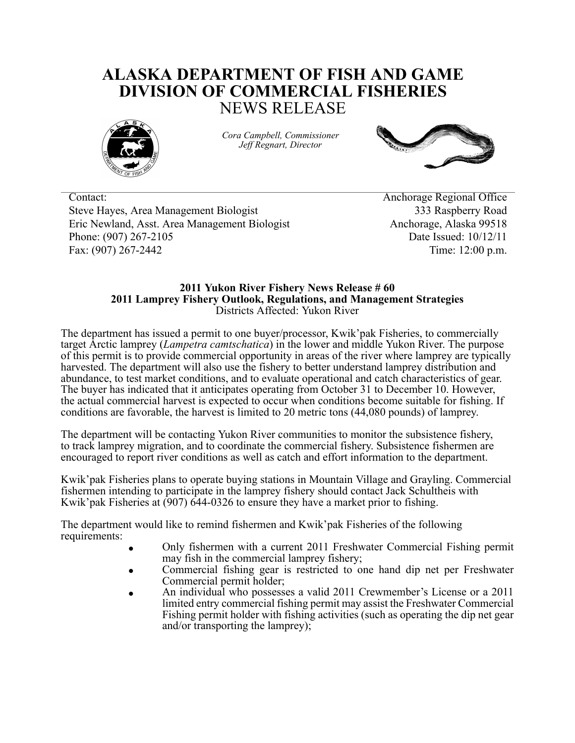## **ALASKA DEPARTMENT OF FISH AND GAME DIVISION OF COMMERCIAL FISHERIES** NEWS RELEASE



*Cora Campbell, Commissioner Jeff Regnart, Director*



Contact: Anchorage Regional Office Steve Hayes, Area Management Biologist 333 Raspberry Road Eric Newland, Asst. Area Management Biologist Anchorage, Alaska 99518 Phone: (907) 267-2105 **Date Issued: 10/12/11** Fax: (907) 267-2442 Time: 12:00 p.m.

## **2011 Yukon River Fishery News Release # 60 2011 Lamprey Fishery Outlook, Regulations, and Management Strategies** Districts Affected: Yukon River

The department has issued a permit to one buyer/processor, Kwik'pak Fisheries, to commercially target Arctic lamprey (*Lampetra camtschatica*) in the lower and middle Yukon River. The purpose of this permit is to provide commercial opportunity in areas of the river where lamprey are typically harvested. The department will also use the fishery to better understand lamprey distribution and abundance, to test market conditions, and to evaluate operational and catch characteristics of gear. The buyer has indicated that it anticipates operating from October 31 to December 10. However, the actual commercial harvest is expected to occur when conditions become suitable for fishing. If conditions are favorable, the harvest is limited to 20 metric tons (44,080 pounds) of lamprey.

The department will be contacting Yukon River communities to monitor the subsistence fishery, to track lamprey migration, and to coordinate the commercial fishery. Subsistence fishermen are encouraged to report river conditions as well as catch and effort information to the department.

Kwik'pak Fisheries plans to operate buying stations in Mountain Village and Grayling. Commercial fishermen intending to participate in the lamprey fishery should contact Jack Schultheis with Kwik'pak Fisheries at (907) 644-0326 to ensure they have a market prior to fishing.

The department would like to remind fishermen and Kwik'pak Fisheries of the following requirements:

- Only fishermen with a current 2011 Freshwater Commercial Fishing permit may fish in the commercial lamprey fishery;
- Commercial fishing gear is restricted to one hand dip net per Freshwater Commercial permit holder;
- An individual who possesses a valid 2011 Crewmember's License or a 2011 limited entry commercial fishing permit may assist the Freshwater Commercial Fishing permit holder with fishing activities (such as operating the dip net gear and/or transporting the lamprey);